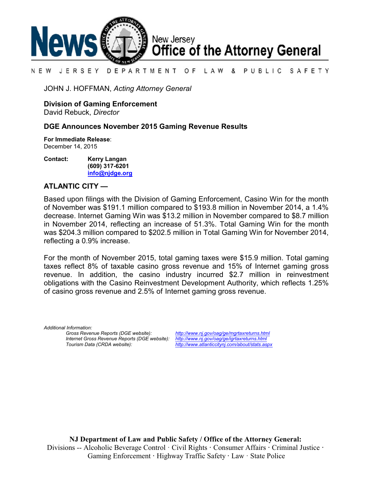

### N E W JERSEY DEPARTMENT OF LAW & PUBLIC SAFETY

JOHN J. HOFFMAN, *Acting Attorney General*

**Division of Gaming Enforcement**

David Rebuck, *Director*

## **DGE Announces November 2015 Gaming Revenue Results**

**For Immediate Release**: December 14, 2015

**Contact: Kerry Langan (609) 317-6201 [info@njdge.org](file:///|//info@njdge.org)**

# **ATLANTIC CITY —**

Based upon filings with the Division of Gaming Enforcement, Casino Win for the month of November was \$191.1 million compared to \$193.8 million in November 2014, a 1.4% decrease. Internet Gaming Win was \$13.2 million in November compared to \$8.7 million in November 2014, reflecting an increase of 51.3%. Total Gaming Win for the month was \$204.3 million compared to \$202.5 million in Total Gaming Win for November 2014, reflecting a 0.9% increase.

For the month of November 2015, total gaming taxes were \$15.9 million. Total gaming taxes reflect 8% of taxable casino gross revenue and 15% of Internet gaming gross revenue. In addition, the casino industry incurred \$2.7 million in reinvestment obligations with the Casino Reinvestment Development Authority, which reflects 1.25% of casino gross revenue and 2.5% of Internet gaming gross revenue.

*Additional Information: Internet Gross Revenue Reports (DGE website): <http://www.nj.gov/oag/ge/igrtaxreturns.html>*

*Gross Revenue Reports (DGE website): <http://www.nj.gov/oag/ge/mgrtaxreturns.html> Tourism Data (CRDA website): <http://www.atlanticcitynj.com/about/stats.aspx>*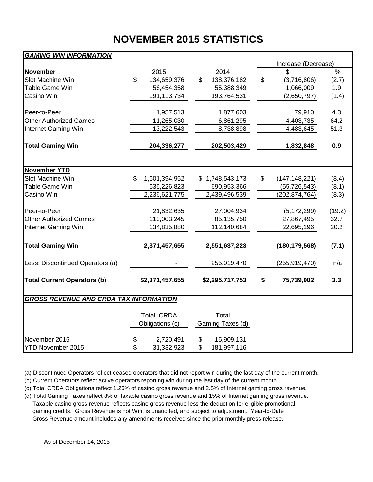# **NOVEMBER 2015 STATISTICS**

# *GAMING WIN INFORMATION*

|                                               |                |                   |                  |                 | Increase (Decrease)   |               |
|-----------------------------------------------|----------------|-------------------|------------------|-----------------|-----------------------|---------------|
| <b>November</b>                               |                | 2015              |                  | 2014            | \$                    | $\frac{1}{2}$ |
| Slot Machine Win                              | $\overline{s}$ | 134,659,376       | \$               | 138,376,182     | \$<br>(3,716,806)     | (2.7)         |
| Table Game Win                                |                | 56,454,358        |                  | 55,388,349      | 1,066,009             | 1.9           |
| Casino Win                                    |                | 191,113,734       |                  | 193,764,531     | (2,650,797)           | (1.4)         |
|                                               |                |                   |                  |                 |                       |               |
| Peer-to-Peer                                  |                | 1,957,513         |                  | 1,877,603       | 79,910                | 4.3           |
| <b>Other Authorized Games</b>                 |                | 11,265,030        |                  | 6,861,295       | 4,403,735             | 64.2          |
| Internet Gaming Win                           |                | 13,222,543        |                  | 8,738,898       | 4,483,645             | 51.3          |
| <b>Total Gaming Win</b>                       |                | 204,336,277       |                  | 202,503,429     | 1,832,848             | 0.9           |
| <b>November YTD</b>                           |                |                   |                  |                 |                       |               |
| Slot Machine Win                              | \$             | 1,601,394,952     |                  | \$1,748,543,173 | \$<br>(147, 148, 221) | (8.4)         |
| <b>Table Game Win</b>                         |                | 635,226,823       |                  | 690,953,366     | (55, 726, 543)        | (8.1)         |
| Casino Win                                    |                | 2,236,621,775     |                  | 2,439,496,539   | (202, 874, 764)       | (8.3)         |
| Peer-to-Peer                                  |                | 21,832,635        |                  | 27,004,934      | (5, 172, 299)         | (19.2)        |
| <b>Other Authorized Games</b>                 |                | 113,003,245       |                  | 85,135,750      | 27,867,495            | 32.7          |
| Internet Gaming Win                           |                | 134,835,880       |                  | 112,140,684     | 22,695,196            | 20.2          |
| <b>Total Gaming Win</b>                       |                | 2,371,457,655     |                  | 2,551,637,223   | (180, 179, 568)       | (7.1)         |
| Less: Discontinued Operators (a)              |                |                   |                  | 255,919,470     | (255, 919, 470)       | n/a           |
| <b>Total Current Operators (b)</b>            |                | \$2,371,457,655   |                  | \$2,295,717,753 | \$<br>75,739,902      | 3.3           |
| <b>GROSS REVENUE AND CRDA TAX INFORMATION</b> |                |                   |                  |                 |                       |               |
|                                               |                |                   |                  |                 |                       |               |
|                                               |                | <b>Total CRDA</b> |                  | Total           |                       |               |
|                                               |                | Obligations (c)   | Gaming Taxes (d) |                 |                       |               |
| November 2015                                 | \$             | 2,720,491         | \$               | 15,909,131      |                       |               |
| <b>YTD November 2015</b>                      | \$             | 31,332,923        | \$               | 181,997,116     |                       |               |

(a) Discontinued Operators reflect ceased operators that did not report win during the last day of the current month.

(b) Current Operators reflect active operators reporting win during the last day of the current month.

(c) Total CRDA Obligations reflect 1.25% of casino gross revenue and 2.5% of Internet gaming gross revenue.

(d) Total Gaming Taxes reflect 8% of taxable casino gross revenue and 15% of Internet gaming gross revenue. Taxable casino gross revenue reflects casino gross revenue less the deduction for eligible promotional gaming credits. Gross Revenue is not Win, is unaudited, and subject to adjustment. Year-to-Date Gross Revenue amount includes any amendments received since the prior monthly press release.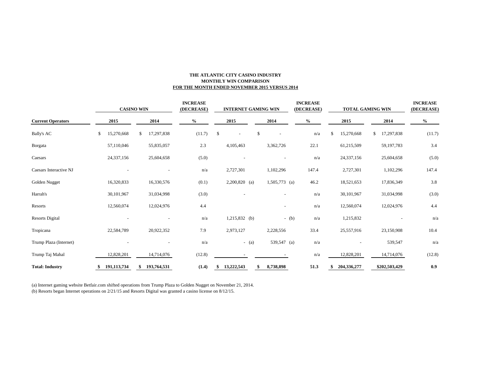### **THE ATLANTIC CITY CASINO INDUSTRY MONTHLY WIN COMPARISON FOR THE MONTH ENDED NOVEMBER 2015 VERSUS 2014**

|                          | <b>CASINO WIN</b> |    |             | <b>INCREASE</b><br>(DECREASE) | <b>INTERNET GAMING WIN</b> |    |                          |         |                 | <b>INCREASE</b><br>(DECREASE) |  | <b>TOTAL GAMING WIN</b> |    |             | <b>INCREASE</b><br>(DECREASE) |               |        |
|--------------------------|-------------------|----|-------------|-------------------------------|----------------------------|----|--------------------------|---------|-----------------|-------------------------------|--|-------------------------|----|-------------|-------------------------------|---------------|--------|
| <b>Current Operators</b> | 2015              |    | 2014        | $\%$                          |                            |    | 2015                     |         | 2014            |                               |  | $\%$                    |    | 2015        |                               | 2014          | $\%$   |
| <b>Bally's AC</b>        | \$<br>15,270,668  | \$ | 17,297,838  |                               | (11.7)                     | \$ | $\overline{\phantom{a}}$ | \$      |                 |                               |  | n/a                     | \$ | 15,270,668  | \$                            | 17,297,838    | (11.7) |
| Borgata                  | 57,110,046        |    | 55,835,057  |                               | 2.3                        |    | 4,105,463                |         | 3,362,726       |                               |  | 22.1                    |    | 61,215,509  |                               | 59,197,783    | 3.4    |
| Caesars                  | 24,337,156        |    | 25,604,658  |                               | (5.0)                      |    |                          |         |                 |                               |  | n/a                     |    | 24,337,156  |                               | 25,604,658    | (5.0)  |
| Caesars Interactive NJ   |                   |    |             |                               | n/a                        |    | 2,727,301                |         | 1,102,296       |                               |  | 147.4                   |    | 2,727,301   |                               | 1,102,296     | 147.4  |
| Golden Nugget            | 16,320,833        |    | 16,330,576  |                               | (0.1)                      |    | $2,200,820$ (a)          |         | $1,505,773$ (a) |                               |  | 46.2                    |    | 18,521,653  |                               | 17,836,349    | 3.8    |
| Harrah's                 | 30,101,967        |    | 31,034,998  |                               | (3.0)                      |    |                          |         |                 |                               |  | n/a                     |    | 30,101,967  |                               | 31,034,998    | (3.0)  |
| Resorts                  | 12,560,074        |    | 12,024,976  |                               | 4.4                        |    |                          |         |                 | $\overline{\phantom{a}}$      |  | n/a                     |    | 12,560,074  |                               | 12,024,976    | 4.4    |
| <b>Resorts Digital</b>   |                   |    |             |                               | n/a                        |    | $1,215,832$ (b)          |         |                 | $-(b)$                        |  | n/a                     |    | 1,215,832   |                               |               | n/a    |
| Tropicana                | 22,584,789        |    | 20,922,352  |                               | 7.9                        |    | 2,973,127                |         | 2,228,556       |                               |  | 33.4                    |    | 25,557,916  |                               | 23,150,908    | 10.4   |
| Trump Plaza (Internet)   |                   |    |             |                               | n/a                        |    |                          | $-$ (a) |                 | 539,547 (a)                   |  | n/a                     |    |             |                               | 539,547       | n/a    |
| Trump Taj Mahal          | 12,828,201        |    | 14,714,076  |                               | (12.8)                     |    |                          |         |                 |                               |  | n/a                     |    | 12,828,201  |                               | 14,714,076    | (12.8) |
| <b>Total: Industry</b>   | \$<br>191,113,734 |    | 193,764,531 |                               | (1.4)                      |    | 13,222,543               | \$      | 8,738,898       |                               |  | 51.3                    |    | 204,336,277 |                               | \$202,503,429 | 0.9    |

(a) Internet gaming website Betfair.com shifted operations from Trump Plaza to Golden Nugget on November 21, 2014. (b) Resorts began Internet operations on 2/21/15 and Resorts Digital was granted a casino license on 8/12/15.